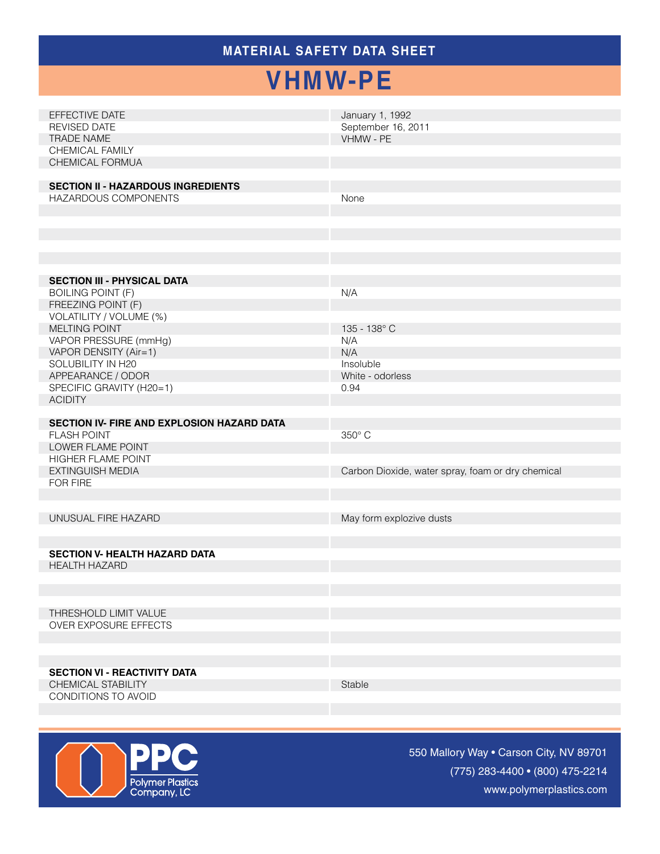## **MATERIAL SAFETY Data Sheet**

## **VHMW-PE**

| EFFECTIVE DATE<br><b>REVISED DATE</b><br>TRADE NAME<br>CHEMICAL FAMILY<br>CHEMICAL FORMUA<br><b>SECTION II - HAZARDOUS INGREDIENTS</b>                                                                                                                                     | January 1, 1992<br>September 16, 2011<br>VHMW - PE                         |
|----------------------------------------------------------------------------------------------------------------------------------------------------------------------------------------------------------------------------------------------------------------------------|----------------------------------------------------------------------------|
| HAZARDOUS COMPONENTS                                                                                                                                                                                                                                                       | None                                                                       |
| <b>SECTION III - PHYSICAL DATA</b><br><b>BOILING POINT (F)</b><br>FREEZING POINT (F)<br>VOLATILITY / VOLUME (%)<br>MELTING POINT<br>VAPOR PRESSURE (mmHg)<br>VAPOR DENSITY (Air=1)<br>SOLUBILITY IN H20<br>APPEARANCE / ODOR<br>SPECIFIC GRAVITY (H20=1)<br><b>ACIDITY</b> | N/A<br>135 - 138° C<br>N/A<br>N/A<br>Insoluble<br>White - odorless<br>0.94 |
| SECTION IV- FIRE AND EXPLOSION HAZARD DATA<br><b>FLASH POINT</b><br>LOWER FLAME POINT<br><b>HIGHER FLAME POINT</b><br>EXTINGUISH MEDIA<br><b>FOR FIRE</b>                                                                                                                  | 350° C<br>Carbon Dioxide, water spray, foam or dry chemical                |
| UNUSUAL FIRE HAZARD<br><b>SECTION V- HEALTH HAZARD DATA</b><br><b>HEALTH HAZARD</b>                                                                                                                                                                                        | May form explozive dusts                                                   |
| THRESHOLD LIMIT VALUE<br><b>OVER EXPOSURE EFFECTS</b><br><b>SECTION VI - REACTIVITY DATA</b><br>CHEMICAL STABILITY                                                                                                                                                         | Stable                                                                     |
| CONDITIONS TO AVOID                                                                                                                                                                                                                                                        |                                                                            |



550 Mallory Way • Carson City, NV 89701 (775) 283-4400 • (800) 475-2214 www.polymerplastics.com